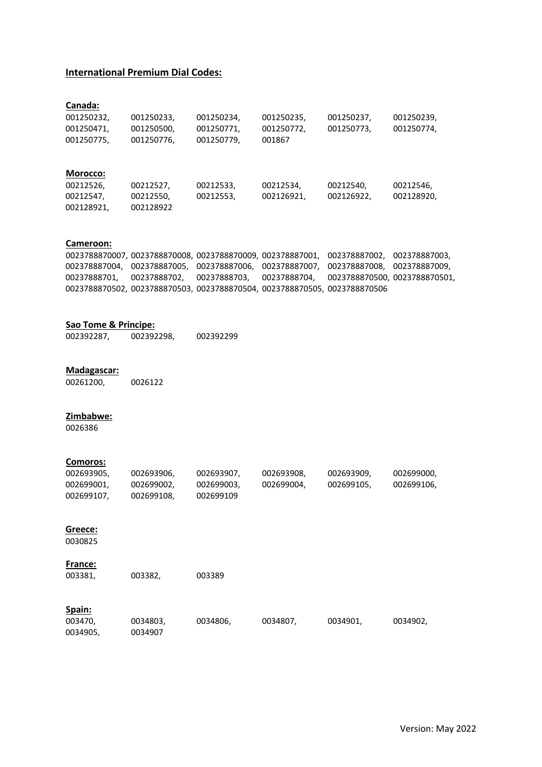### **International Premium Dial Codes:**

| Canada:    |            |            |            |            |            |
|------------|------------|------------|------------|------------|------------|
| 001250232, | 001250233, | 001250234, | 001250235, | 001250237. | 001250239, |
| 001250471, | 001250500, | 001250771, | 001250772, | 001250773, | 001250774, |
| 001250775, | 001250776, | 001250779, | 001867     |            |            |
|            |            |            |            |            |            |
|            |            |            |            |            |            |
| Morocco:   |            |            |            |            |            |
| 00212526,  | 00212527,  | 00212533,  | 00212534,  | 00212540.  | 00212546.  |
| 00212547,  | 00212550,  | 00212553,  | 002126921, | 002126922. | 002128920. |
| 002128921, | 002128922  |            |            |            |            |

### **Cameroon:**

0023788870007, 0023788870008, 0023788870009, 002378887001, 002378887002, 002378887003, 002378887004, 002378887005, 002378887006, 002378887007, 002378887008, 002378887009, 00237888701, 00237888702, 00237888703, 00237888704, 0023788870500, 0023788870501, 0023788870502, 0023788870503, 0023788870504, 0023788870505, 0023788870506

#### **Sao Tome & Principe:**

| 002392287, | 002392298, | 002392299 |
|------------|------------|-----------|
|------------|------------|-----------|

# **Madagascar:**

00261200, 0026122

### **Zimbabwe:**

0026386

### **Comoros:**

| 002693905, | 002693906, | 002693907. | 002693908, | 002693909, | 002699000, |
|------------|------------|------------|------------|------------|------------|
| 002699001, | 002699002. | 002699003. | 002699004. | 002699105. | 002699106, |
| 002699107. | 002699108. | 002699109  |            |            |            |

## **Greece:**

0030825

### **France:**

| 003381,  | 003382,  | 003389   |          |          |          |
|----------|----------|----------|----------|----------|----------|
| Spain:   |          |          |          |          |          |
| 003470,  | 0034803, | 0034806, | 0034807, | 0034901, | 0034902, |
| 0034905, | 0034907  |          |          |          |          |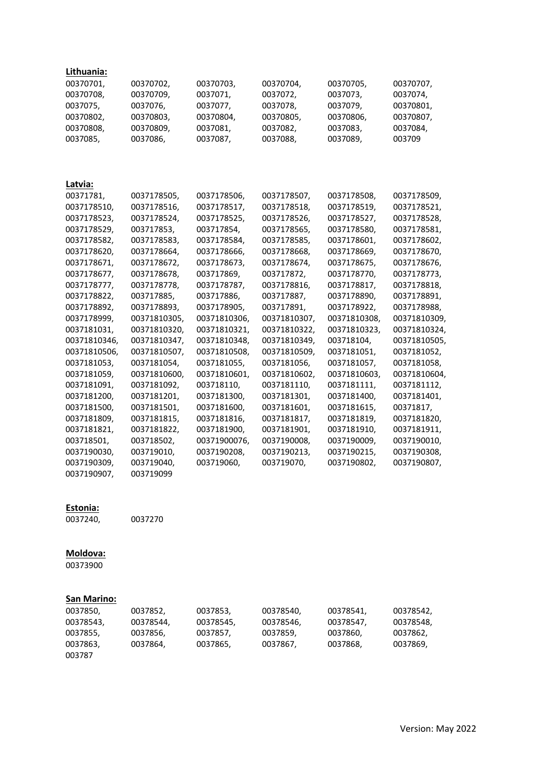| <u>Lithuania:</u> |              |              |              |              |              |
|-------------------|--------------|--------------|--------------|--------------|--------------|
| 00370701,         | 00370702,    | 00370703,    | 00370704,    | 00370705,    | 00370707,    |
| 00370708,         | 00370709,    | 0037071,     | 0037072,     | 0037073,     | 0037074,     |
| 0037075,          | 0037076,     | 0037077,     | 0037078,     | 0037079,     | 00370801,    |
| 00370802,         | 00370803,    | 00370804,    | 00370805,    | 00370806,    | 00370807,    |
| 00370808,         | 00370809,    | 0037081,     | 0037082,     | 0037083,     | 0037084,     |
| 0037085,          | 0037086,     | 0037087,     | 0037088,     | 0037089,     | 003709       |
|                   |              |              |              |              |              |
|                   |              |              |              |              |              |
| Latvia:           |              |              |              |              |              |
| 00371781,         | 0037178505,  | 0037178506,  | 0037178507,  | 0037178508,  | 0037178509,  |
| 0037178510,       | 0037178516,  | 0037178517,  | 0037178518,  | 0037178519,  | 0037178521,  |
| 0037178523,       | 0037178524,  | 0037178525,  | 0037178526,  | 0037178527,  | 0037178528,  |
| 0037178529,       | 003717853,   | 003717854,   | 0037178565,  | 0037178580,  | 0037178581,  |
| 0037178582,       | 0037178583,  | 0037178584,  | 0037178585,  | 0037178601,  | 0037178602,  |
| 0037178620,       | 0037178664,  | 0037178666,  | 0037178668,  | 0037178669,  | 0037178670,  |
| 0037178671,       | 0037178672,  | 0037178673,  | 0037178674,  | 0037178675,  | 0037178676,  |
| 0037178677,       | 0037178678,  | 003717869,   | 003717872,   | 0037178770,  | 0037178773,  |
| 0037178777,       | 0037178778,  | 0037178787,  | 0037178816,  | 0037178817,  | 0037178818,  |
| 0037178822,       | 003717885,   | 003717886,   | 003717887,   | 0037178890,  | 0037178891,  |
| 0037178892,       | 0037178893,  | 0037178905,  | 003717891,   | 0037178922,  | 0037178988,  |
| 0037178999,       | 00371810305, | 00371810306, | 00371810307, | 00371810308, | 00371810309, |
| 0037181031,       | 00371810320, | 00371810321, | 00371810322, | 00371810323, | 00371810324, |
| 00371810346,      | 00371810347, | 00371810348, | 00371810349, | 003718104,   | 00371810505, |
| 00371810506,      | 00371810507, | 00371810508, | 00371810509, | 0037181051,  | 0037181052,  |
| 0037181053,       | 0037181054,  | 0037181055,  | 0037181056,  | 0037181057,  | 0037181058,  |
| 0037181059,       | 00371810600, | 00371810601, | 00371810602, | 00371810603, | 00371810604, |
| 0037181091,       | 0037181092,  | 003718110,   | 0037181110,  | 0037181111,  | 0037181112,  |
| 0037181200,       | 0037181201,  | 0037181300,  | 0037181301,  | 0037181400,  | 0037181401,  |
| 0037181500,       | 0037181501,  | 0037181600,  | 0037181601,  | 0037181615,  | 00371817,    |
| 0037181809,       | 0037181815,  | 0037181816,  | 0037181817,  | 0037181819,  | 0037181820,  |
| 0037181821,       | 0037181822,  | 0037181900,  | 0037181901,  | 0037181910,  | 0037181911,  |
| 003718501,        | 003718502,   | 00371900076, | 0037190008,  | 0037190009,  | 0037190010,  |
| 0037190030,       | 003719010,   | 0037190208,  | 0037190213,  | 0037190215,  | 0037190308,  |
| 0037190309,       | 003719040,   | 003719060,   | 003719070,   | 0037190802,  | 0037190807,  |
| 0037190907,       | 003719099    |              |              |              |              |

### **Estonia:**

0037240, 0037270

# **Moldova:**

00373900

# **San Marino:**

| 0037850,  | 0037852,  | 0037853,  | 00378540, | 00378541, | 00378542, |
|-----------|-----------|-----------|-----------|-----------|-----------|
| 00378543, | 00378544. | 00378545, | 00378546, | 00378547. | 00378548, |
| 0037855.  | 0037856,  | 0037857.  | 0037859.  | 0037860.  | 0037862,  |
| 0037863,  | 0037864.  | 0037865,  | 0037867.  | 0037868.  | 0037869.  |
| 003787    |           |           |           |           |           |